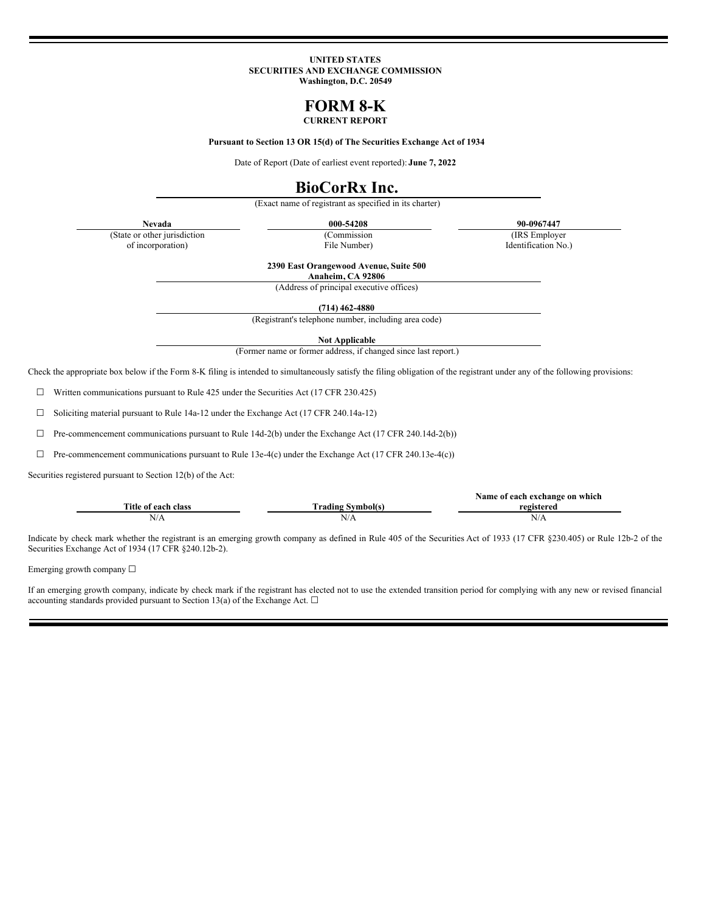#### **UNITED STATES SECURITIES AND EXCHANGE COMMISSION Washington, D.C. 20549**

# **FORM 8-K**

## **CURRENT REPORT**

**Pursuant to Section 13 OR 15(d) of The Securities Exchange Act of 1934**

Date of Report (Date of earliest event reported): **June 7, 2022**

# **BioCorRx Inc.**

(Exact name of registrant as specified in its charter)

(State or other jurisdiction of incorporation)

(Commission

File Number)

**Nevada 000-54208 90-0967447**

(IRS Employer Identification No.)

**2390 East Orangewood Avenue, Suite 500 Anaheim, CA 92806**

(Address of principal executive offices)

**(714) 462-4880**

(Registrant's telephone number, including area code)

**Not Applicable**

(Former name or former address, if changed since last report.)

Check the appropriate box below if the Form 8-K filing is intended to simultaneously satisfy the filing obligation of the registrant under any of the following provisions:

☐ Written communications pursuant to Rule 425 under the Securities Act (17 CFR 230.425)

☐ Soliciting material pursuant to Rule 14a-12 under the Exchange Act (17 CFR 240.14a-12)

 $\Box$  Pre-commencement communications pursuant to Rule 14d-2(b) under the Exchange Act (17 CFR 240.14d-2(b))

 $\Box$  Pre-commencement communications pursuant to Rule 13e-4(c) under the Exchange Act (17 CFR 240.13e-4(c))

Securities registered pursuant to Section 12(b) of the Act:

|                     |                          | Name of each exchange on which |
|---------------------|--------------------------|--------------------------------|
| Title of each class | <b>Trading Symbol(s)</b> | registered                     |
| N/A                 | N/A                      | N/A                            |

Indicate by check mark whether the registrant is an emerging growth company as defined in Rule 405 of the Securities Act of 1933 (17 CFR §230.405) or Rule 12b-2 of the Securities Exchange Act of 1934 (17 CFR §240.12b-2).

Emerging growth company  $\Box$ 

If an emerging growth company, indicate by check mark if the registrant has elected not to use the extended transition period for complying with any new or revised financial accounting standards provided pursuant to Section 13(a) of the Exchange Act.  $\Box$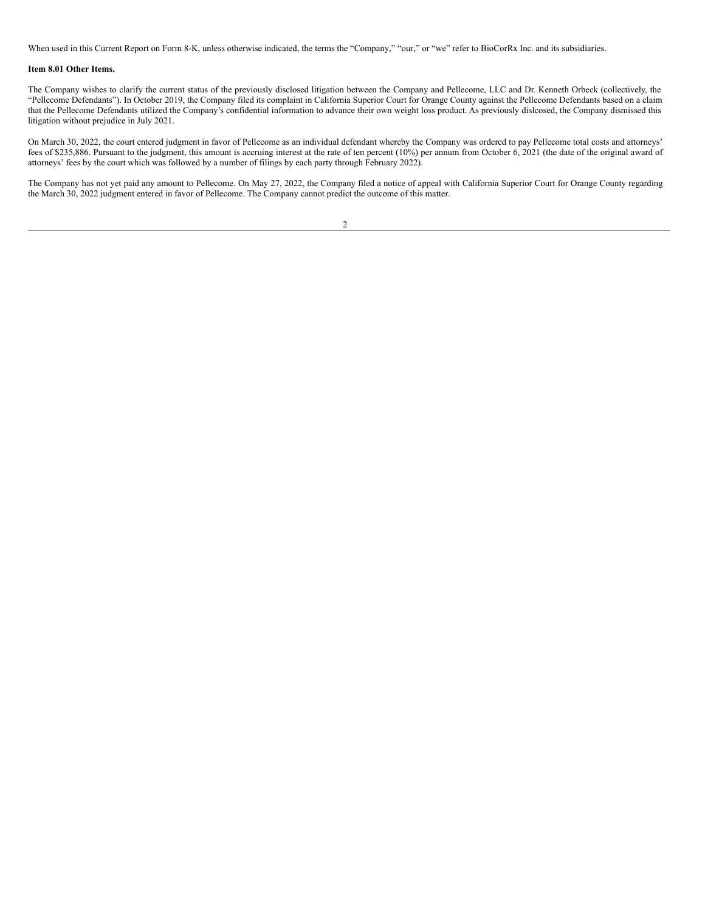When used in this Current Report on Form 8-K, unless otherwise indicated, the terms the "Company," "our," or "we" refer to BioCorRx Inc. and its subsidiaries.

### **Item 8.01 Other Items.**

The Company wishes to clarify the current status of the previously disclosed litigation between the Company and Pellecome, LLC and Dr. Kenneth Orbeck (collectively, the "Pellecome Defendants"). In October 2019, the Company filed its complaint in California Superior Court for Orange County against the Pellecome Defendants based on a claim that the Pellecome Defendants utilized the Company's confidential information to advance their own weight loss product. As previously dislcosed, the Company dismissed this litigation without prejudice in July 2021.

On March 30, 2022, the court entered judgment in favor of Pellecome as an individual defendant whereby the Company was ordered to pay Pellecome total costs and attorneys' fees of \$235,886. Pursuant to the judgment, this amount is accruing interest at the rate of ten percent (10%) per annum from October 6, 2021 (the date of the original award of attorneys' fees by the court which was followed by a number of filings by each party through February 2022).

The Company has not yet paid any amount to Pellecome. On May 27, 2022, the Company filed a notice of appeal with California Superior Court for Orange County regarding the March 30, 2022 judgment entered in favor of Pellecome. The Company cannot predict the outcome of this matter.